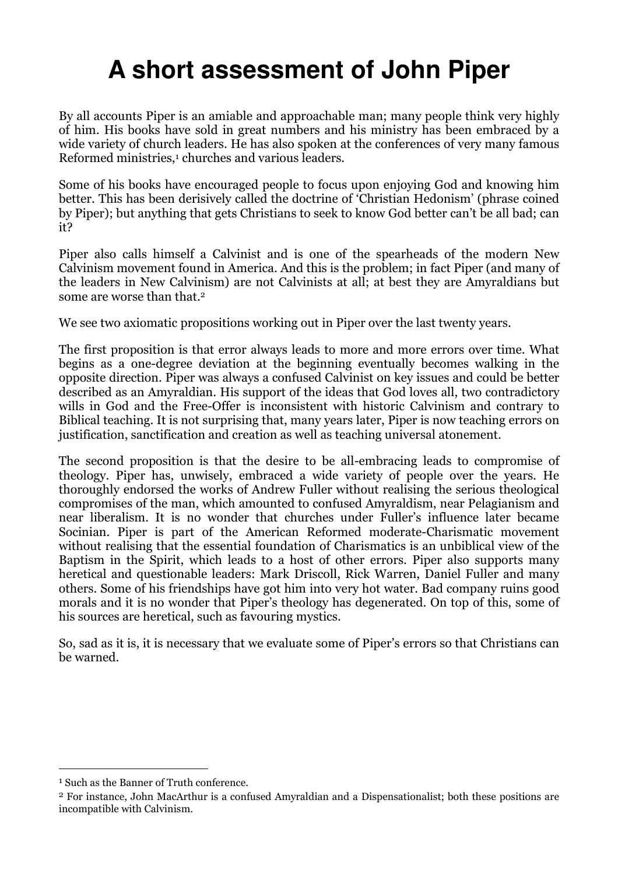# **A short assessment of John Piper**

By all accounts Piper is an amiable and approachable man; many people think very highly of him. His books have sold in great numbers and his ministry has been embraced by a wide variety of church leaders. He has also spoken at the conferences of very many famous Reformed ministries,<sup>1</sup> churches and various leaders.

Some of his books have encouraged people to focus upon enjoying God and knowing him better. This has been derisively called the doctrine of 'Christian Hedonism' (phrase coined by Piper); but anything that gets Christians to seek to know God better can't be all bad; can it?

Piper also calls himself a Calvinist and is one of the spearheads of the modern New Calvinism movement found in America. And this is the problem; in fact Piper (and many of the leaders in New Calvinism) are not Calvinists at all; at best they are Amyraldians but some are worse than that.<sup>2</sup>

We see two axiomatic propositions working out in Piper over the last twenty years.

The first proposition is that error always leads to more and more errors over time. What begins as a one-degree deviation at the beginning eventually becomes walking in the opposite direction. Piper was always a confused Calvinist on key issues and could be better described as an Amyraldian. His support of the ideas that God loves all, two contradictory wills in God and the Free-Offer is inconsistent with historic Calvinism and contrary to Biblical teaching. It is not surprising that, many years later, Piper is now teaching errors on justification, sanctification and creation as well as teaching universal atonement.

The second proposition is that the desire to be all-embracing leads to compromise of theology. Piper has, unwisely, embraced a wide variety of people over the years. He thoroughly endorsed the works of Andrew Fuller without realising the serious theological compromises of the man, which amounted to confused Amyraldism, near Pelagianism and near liberalism. It is no wonder that churches under Fuller's influence later became Socinian. Piper is part of the American Reformed moderate-Charismatic movement without realising that the essential foundation of Charismatics is an unbiblical view of the Baptism in the Spirit, which leads to a host of other errors. Piper also supports many heretical and questionable leaders: Mark Driscoll, Rick Warren, Daniel Fuller and many others. Some of his friendships have got him into very hot water. Bad company ruins good morals and it is no wonder that Piper's theology has degenerated. On top of this, some of his sources are heretical, such as favouring mystics.

So, sad as it is, it is necessary that we evaluate some of Piper's errors so that Christians can be warned.

 $^1$  Such as the Banner of Truth conference.

<sup>2</sup> For instance, John MacArthur is a confused Amyraldian and a Dispensationalist; both these positions are incompatible with Calvinism.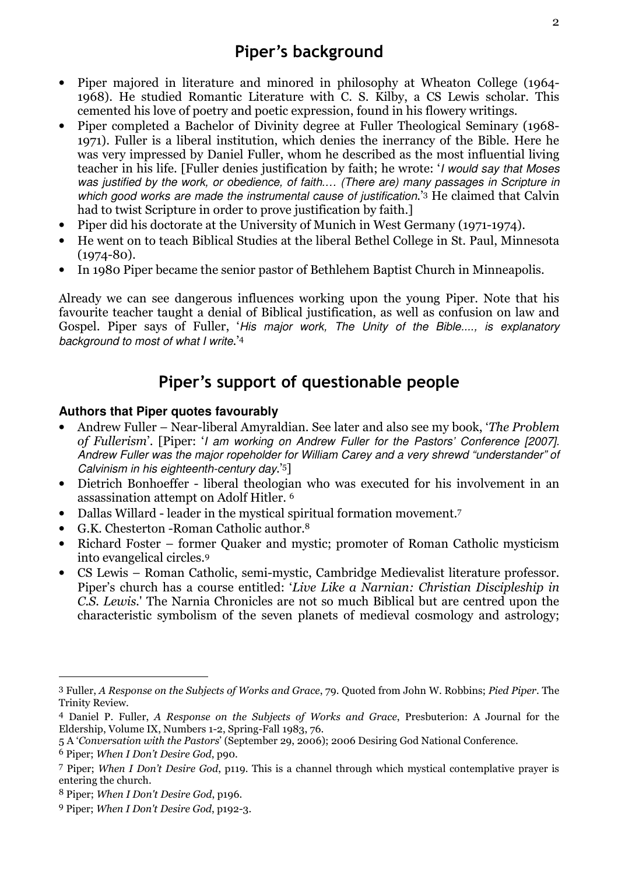- Piper majored in literature and minored in philosophy at Wheaton College (1964- 1968). He studied Romantic Literature with C. S. Kilby, a CS Lewis scholar. This cemented his love of poetry and poetic expression, found in his flowery writings.
- Piper completed a Bachelor of Divinity degree at Fuller Theological Seminary (1968- 1971). Fuller is a liberal institution, which denies the inerrancy of the Bible. Here he was very impressed by Daniel Fuller, whom he described as the most influential living teacher in his life. [Fuller denies justification by faith; he wrote: 'I would say that Moses was justified by the work, or obedience, of faith.... (There are) many passages in Scripture in which good works are made the instrumental cause of justification.<sup>3</sup> He claimed that Calvin had to twist Scripture in order to prove justification by faith.]
- Piper did his doctorate at the University of Munich in West Germany (1971-1974).
- He went on to teach Biblical Studies at the liberal Bethel College in St. Paul, Minnesota  $(1974 - 80)$ .
- In 1980 Piper became the senior pastor of Bethlehem Baptist Church in Minneapolis.

Already we can see dangerous influences working upon the young Piper. Note that his favourite teacher taught a denial of Biblical justification, as well as confusion on law and Gospel. Piper says of Fuller, 'His major work, The Unity of the Bible...., is explanatory background to most of what I write.<sup>'4</sup>

# Piper's support of questionable people

### **Authors that Piper quotes favourably**

- Andrew Fuller Near-liberal Amyraldian. See later and also see my book, 'The Problem of Fullerism'. [Piper: 'I am working on Andrew Fuller for the Pastors' Conference [2007]. Andrew Fuller was the major ropeholder for William Carey and a very shrewd "understander" of Calvinism in his eighteenth-century day.'5]
- Dietrich Bonhoeffer liberal theologian who was executed for his involvement in an assassination attempt on Adolf Hitler. <sup>6</sup>
- Dallas Willard leader in the mystical spiritual formation movement.7
- G.K. Chesterton -Roman Catholic author.<sup>8</sup>
- Richard Foster former Quaker and mystic; promoter of Roman Catholic mysticism into evangelical circles.<sup>9</sup>
- CS Lewis Roman Catholic, semi-mystic, Cambridge Medievalist literature professor. Piper's church has a course entitled: 'Live Like a Narnian: Christian Discipleship in C.S. Lewis.' The Narnia Chronicles are not so much Biblical but are centred upon the characteristic symbolism of the seven planets of medieval cosmology and astrology;

<sup>3</sup> Fuller, A Response on the Subjects of Works and Grace, 79. Quoted from John W. Robbins; Pied Piper. The Trinity Review.

<sup>4</sup> Daniel P. Fuller, A Response on the Subjects of Works and Grace, Presbuterion: A Journal for the Eldership, Volume IX, Numbers 1-2, Spring-Fall 1983, 76.

<sup>5</sup> A 'Conversation with the Pastors' (September 29, 2006); 2006 Desiring God National Conference.

<sup>6</sup> Piper; When I Don't Desire God, p90.

<sup>7</sup> Piper; When I Don't Desire God, p119. This is a channel through which mystical contemplative prayer is entering the church.

<sup>8</sup> Piper; When I Don't Desire God, p196.

<sup>9</sup> Piper; When I Don't Desire God, p192-3.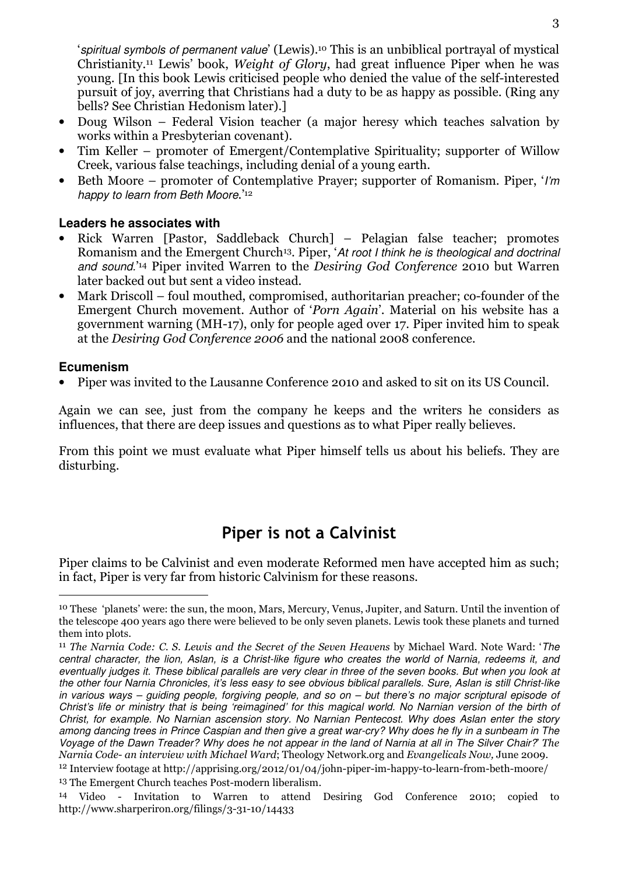'spiritual symbols of permanent value' (Lewis).10 This is an unbiblical portrayal of mystical Christianity.11 Lewis' book, Weight of Glory, had great influence Piper when he was young. [In this book Lewis criticised people who denied the value of the self-interested pursuit of joy, averring that Christians had a duty to be as happy as possible. (Ring any bells? See Christian Hedonism later).]

- Doug Wilson Federal Vision teacher (a major heresy which teaches salvation by works within a Presbyterian covenant).
- Tim Keller promoter of Emergent/Contemplative Spirituality; supporter of Willow Creek, various false teachings, including denial of a young earth.
- Beth Moore promoter of Contemplative Prayer; supporter of Romanism. Piper, '*I'm* happy to learn from Beth Moore.'<sup>12</sup>

# **Leaders he associates with**

- Rick Warren [Pastor, Saddleback Church] Pelagian false teacher; promotes Romanism and the Emergent Church<sup>13</sup>. Piper, 'At root I think he is theological and doctrinal and sound.<sup>'14</sup> Piper invited Warren to the *Desiring God Conference* 2010 but Warren later backed out but sent a video instead.
- Mark Driscoll foul mouthed, compromised, authoritarian preacher; co-founder of the Emergent Church movement. Author of 'Porn Again'. Material on his website has a government warning (MH-17), only for people aged over 17. Piper invited him to speak at the Desiring God Conference 2006 and the national 2008 conference.

### **Ecumenism**

 $\overline{a}$ 

• Piper was invited to the Lausanne Conference 2010 and asked to sit on its US Council.

Again we can see, just from the company he keeps and the writers he considers as influences, that there are deep issues and questions as to what Piper really believes.

From this point we must evaluate what Piper himself tells us about his beliefs. They are disturbing.

# Piper is not a Calvinist

Piper claims to be Calvinist and even moderate Reformed men have accepted him as such; in fact, Piper is very far from historic Calvinism for these reasons.

<sup>10</sup> These 'planets' were: the sun, the moon, Mars, Mercury, Venus, Jupiter, and Saturn. Until the invention of the telescope 400 years ago there were believed to be only seven planets. Lewis took these planets and turned them into plots.

<sup>11</sup> The Narnia Code: C. S. Lewis and the Secret of the Seven Heavens by Michael Ward. Note Ward: 'The central character, the lion, Aslan, is a Christ-like figure who creates the world of Narnia, redeems it, and eventually judges it. These biblical parallels are very clear in three of the seven books. But when you look at the other four Narnia Chronicles, it's less easy to see obvious biblical parallels. Sure, Aslan is still Christ-like in various ways – guiding people, forgiving people, and so on – but there's no major scriptural episode of Christ's life or ministry that is being 'reimagined' for this magical world. No Narnian version of the birth of Christ, for example. No Narnian ascension story. No Narnian Pentecost. Why does Aslan enter the story among dancing trees in Prince Caspian and then give a great war-cry? Why does he fly in a sunbeam in The Voyage of the Dawn Treader? Why does he not appear in the land of Narnia at all in The Silver Chair?' The Narnia Code- an interview with Michael Ward; Theology Network.org and Evangelicals Now, June 2009.

<sup>12</sup> Interview footage at http://apprising.org/2012/01/04/john-piper-im-happy-to-learn-from-beth-moore/ 13 The Emergent Church teaches Post-modern liberalism.

<sup>14</sup> Video - Invitation to Warren to attend Desiring God Conference 2010; copied to http://www.sharperiron.org/filings/3-31-10/14433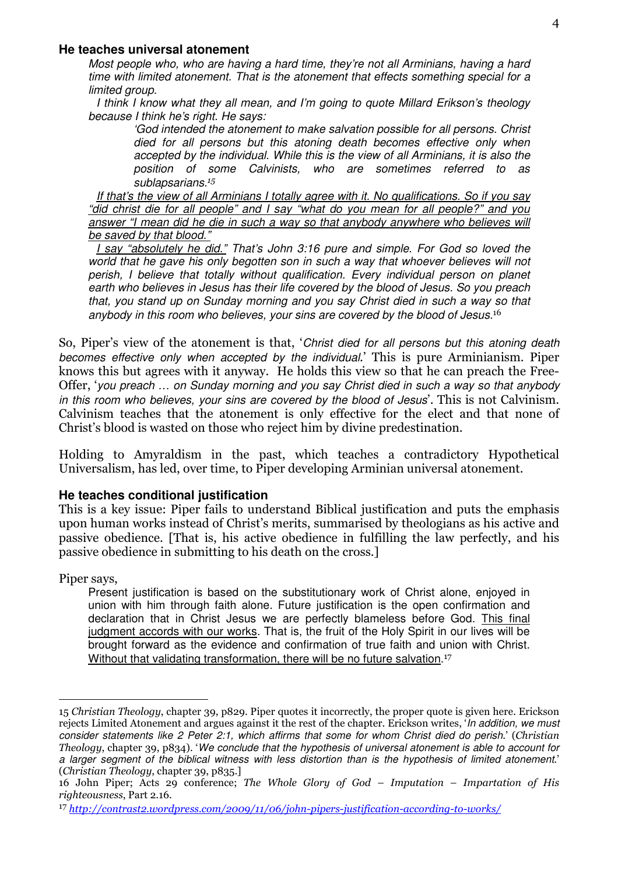#### **He teaches universal atonement**

Most people who, who are having a hard time, they're not all Arminians, having a hard time with limited atonement. That is the atonement that effects something special for a limited group.

I think I know what they all mean, and I'm going to quote Millard Erikson's theology because I think he's right. He says:

'God intended the atonement to make salvation possible for all persons. Christ died for all persons but this atoning death becomes effective only when accepted by the individual. While this is the view of all Arminians, it is also the position of some Calvinists, who are sometimes referred to as sublapsarians.<sup>15</sup>

If that's the view of all Arminians I totally agree with it. No qualifications. So if you say "did christ die for all people" and I say "what do you mean for all people?" and you answer "I mean did he die in such a way so that anybody anywhere who believes will be saved by that blood."

I say "absolutely he did." That's John 3:16 pure and simple. For God so loved the world that he gave his only begotten son in such a way that whoever believes will not perish, I believe that totally without qualification. Every individual person on planet earth who believes in Jesus has their life covered by the blood of Jesus. So you preach that, you stand up on Sunday morning and you say Christ died in such a way so that anybody in this room who believes, your sins are covered by the blood of Jesus.<sup>16</sup>

So, Piper's view of the atonement is that, 'Christ died for all persons but this atoning death becomes effective only when accepted by the individual.' This is pure Arminianism. Piper knows this but agrees with it anyway. He holds this view so that he can preach the Free-Offer, 'you preach … on Sunday morning and you say Christ died in such a way so that anybody in this room who believes, your sins are covered by the blood of Jesus'. This is not Calvinism. Calvinism teaches that the atonement is only effective for the elect and that none of Christ's blood is wasted on those who reject him by divine predestination.

Holding to Amyraldism in the past, which teaches a contradictory Hypothetical Universalism, has led, over time, to Piper developing Arminian universal atonement.

#### **He teaches conditional justification**

This is a key issue: Piper fails to understand Biblical justification and puts the emphasis upon human works instead of Christ's merits, summarised by theologians as his active and passive obedience. [That is, his active obedience in fulfilling the law perfectly, and his passive obedience in submitting to his death on the cross.]

Piper says,

 $\overline{a}$ 

Present justification is based on the substitutionary work of Christ alone, enjoyed in union with him through faith alone. Future justification is the open confirmation and declaration that in Christ Jesus we are perfectly blameless before God. This final judgment accords with our works. That is, the fruit of the Holy Spirit in our lives will be brought forward as the evidence and confirmation of true faith and union with Christ. Without that validating transformation, there will be no future salvation.<sup>17</sup>

<sup>15</sup> Christian Theology, chapter 39, p829. Piper quotes it incorrectly, the proper quote is given here. Erickson rejects Limited Atonement and argues against it the rest of the chapter. Erickson writes, 'In addition, we must consider statements like 2 Peter 2:1, which affirms that some for whom Christ died do perish.' (Christian Theology, chapter 39, p834). 'We conclude that the hypothesis of universal atonement is able to account for a larger segment of the biblical witness with less distortion than is the hypothesis of limited atonement.' (Christian Theology, chapter 39, p835.]

<sup>16</sup> John Piper; Acts 29 conference; The Whole Glory of God – Imputation – Impartation of His righteousness, Part 2.16.

<sup>17</sup> http://contrast2.wordpress.com/2009/11/06/john-pipers-justification-according-to-works/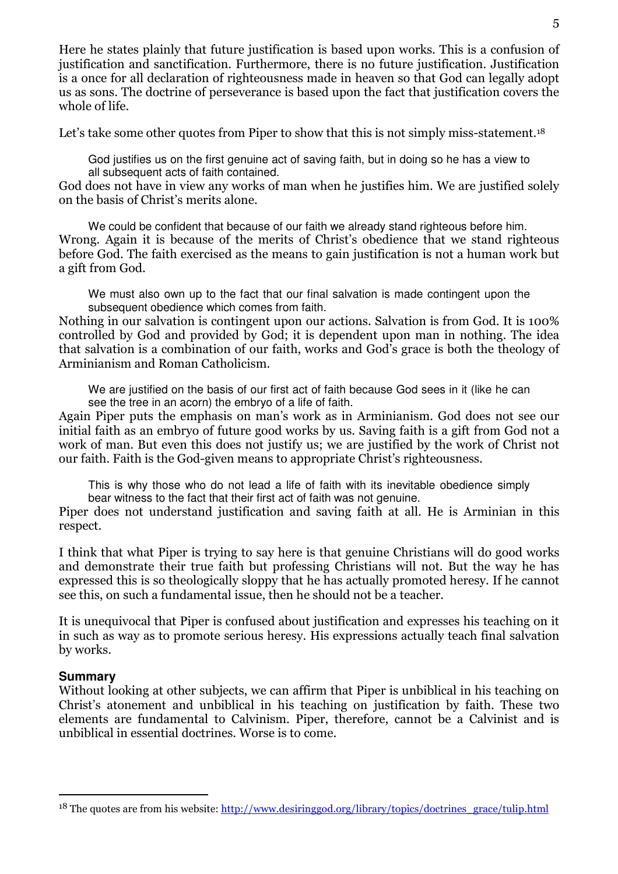Let's take some other quotes from Piper to show that this is not simply miss-statement.<sup>18</sup>

God justifies us on the first genuine act of saving faith, but in doing so he has a view to all subsequent acts of faith contained.

God does not have in view any works of man when he justifies him. We are justified solely on the basis of Christ's merits alone.

We could be confident that because of our faith we already stand righteous before him. Wrong. Again it is because of the merits of Christ's obedience that we stand righteous before God. The faith exercised as the means to gain justification is not a human work but a gift from God.

We must also own up to the fact that our final salvation is made contingent upon the subsequent obedience which comes from faith.

Nothing in our salvation is contingent upon our actions. Salvation is from God. It is 100% controlled by God and provided by God; it is dependent upon man in nothing. The idea that salvation is a combination of our faith, works and God's grace is both the theology of Arminianism and Roman Catholicism.

We are justified on the basis of our first act of faith because God sees in it (like he can see the tree in an acorn) the embryo of a life of faith.

Again Piper puts the emphasis on man's work as in Arminianism. God does not see our initial faith as an embryo of future good works by us. Saving faith is a gift from God not a work of man. But even this does not justify us; we are justified by the work of Christ not our faith. Faith is the God-given means to appropriate Christ's righteousness.

This is why those who do not lead a life of faith with its inevitable obedience simply bear witness to the fact that their first act of faith was not genuine.

Piper does not understand justification and saving faith at all. He is Arminian in this respect.

I think that what Piper is trying to say here is that genuine Christians will do good works and demonstrate their true faith but professing Christians will not. But the way he has expressed this is so theologically sloppy that he has actually promoted heresy. If he cannot see this, on such a fundamental issue, then he should not be a teacher.

It is unequivocal that Piper is confused about justification and expresses his teaching on it in such as way as to promote serious heresy. His expressions actually teach final salvation by works.

# **Summary**

 $\overline{a}$ 

Without looking at other subjects, we can affirm that Piper is unbiblical in his teaching on Christ's atonement and unbiblical in his teaching on justification by faith. These two elements are fundamental to Calvinism. Piper, therefore, cannot be a Calvinist and is unbiblical in essential doctrines. Worse is to come.

<sup>&</sup>lt;sup>18</sup> The quotes are from his website: http://www.desiringgod.org/library/topics/doctrines\_grace/tulip.html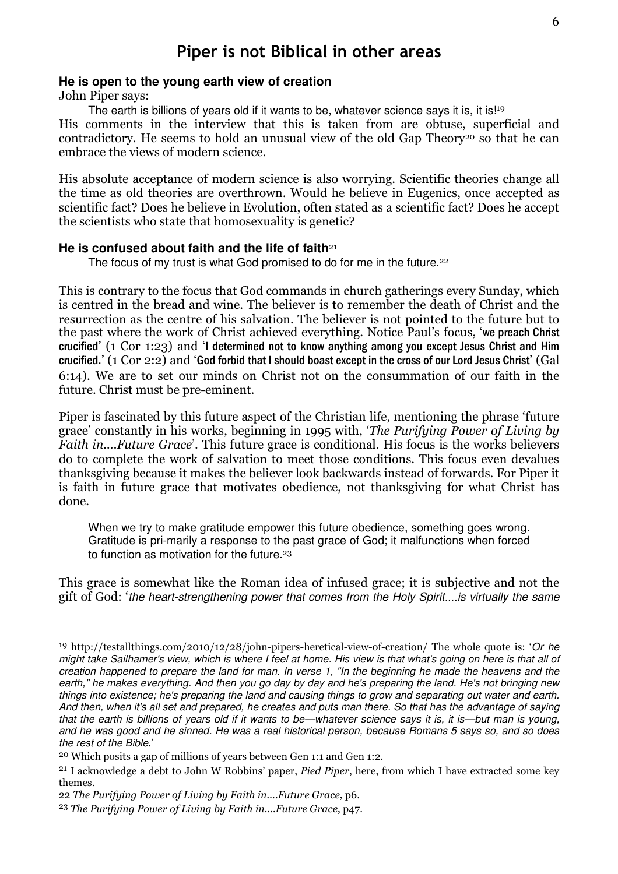# Piper is not Biblical in other areas

#### **He is open to the young earth view of creation**

John Piper says:

 $\overline{a}$ 

The earth is billions of years old if it wants to be, whatever science says it is, it is!<sup>19</sup> His comments in the interview that this is taken from are obtuse, superficial and contradictory. He seems to hold an unusual view of the old Gap Theory<sup>20</sup> so that he can embrace the views of modern science.

His absolute acceptance of modern science is also worrying. Scientific theories change all the time as old theories are overthrown. Would he believe in Eugenics, once accepted as scientific fact? Does he believe in Evolution, often stated as a scientific fact? Does he accept the scientists who state that homosexuality is genetic?

#### He is confused about faith and the life of faith<sup>21</sup>

The focus of my trust is what God promised to do for me in the future.<sup>22</sup>

This is contrary to the focus that God commands in church gatherings every Sunday, which is centred in the bread and wine. The believer is to remember the death of Christ and the resurrection as the centre of his salvation. The believer is not pointed to the future but to the past where the work of Christ achieved everything. Notice Paul's focus, 'we preach Christ crucified' (1 Cor 1:23) and 'I determined not to know anything among you except Jesus Christ and Him crucified.' (1 Cor 2:2) and 'God forbid that I should boast except in the cross of our Lord Jesus Christ' (Gal 6:14). We are to set our minds on Christ not on the consummation of our faith in the future. Christ must be pre-eminent.

Piper is fascinated by this future aspect of the Christian life, mentioning the phrase 'future grace' constantly in his works, beginning in 1995 with, 'The Purifying Power of Living by Faith in....Future Grace'. This future grace is conditional. His focus is the works believers do to complete the work of salvation to meet those conditions. This focus even devalues thanksgiving because it makes the believer look backwards instead of forwards. For Piper it is faith in future grace that motivates obedience, not thanksgiving for what Christ has done.

When we try to make gratitude empower this future obedience, something goes wrong. Gratitude is pri-marily a response to the past grace of God; it malfunctions when forced to function as motivation for the future.<sup>23</sup>

This grace is somewhat like the Roman idea of infused grace; it is subjective and not the gift of God: 'the heart-strengthening power that comes from the Holy Spirit....is virtually the same

<sup>19</sup> http://testallthings.com/2010/12/28/john-pipers-heretical-view-of-creation/ The whole quote is: 'Or he might take Sailhamer's view, which is where I feel at home. His view is that what's going on here is that all of creation happened to prepare the land for man. In verse 1, "In the beginning he made the heavens and the earth," he makes everything. And then you go day by day and he's preparing the land. He's not bringing new things into existence; he's preparing the land and causing things to grow and separating out water and earth. And then, when it's all set and prepared, he creates and puts man there. So that has the advantage of saying that the earth is billions of years old if it wants to be—whatever science says it is, it is—but man is young, and he was good and he sinned. He was a real historical person, because Romans 5 says so, and so does the rest of the Bible.'

<sup>20</sup> Which posits a gap of millions of years between Gen 1:1 and Gen 1:2.

<sup>&</sup>lt;sup>21</sup> I acknowledge a debt to John W Robbins' paper, *Pied Piper*, here, from which I have extracted some key themes.

<sup>22</sup> The Purifying Power of Living by Faith in....Future Grace, p6.

<sup>23</sup> The Purifying Power of Living by Faith in....Future Grace, p47.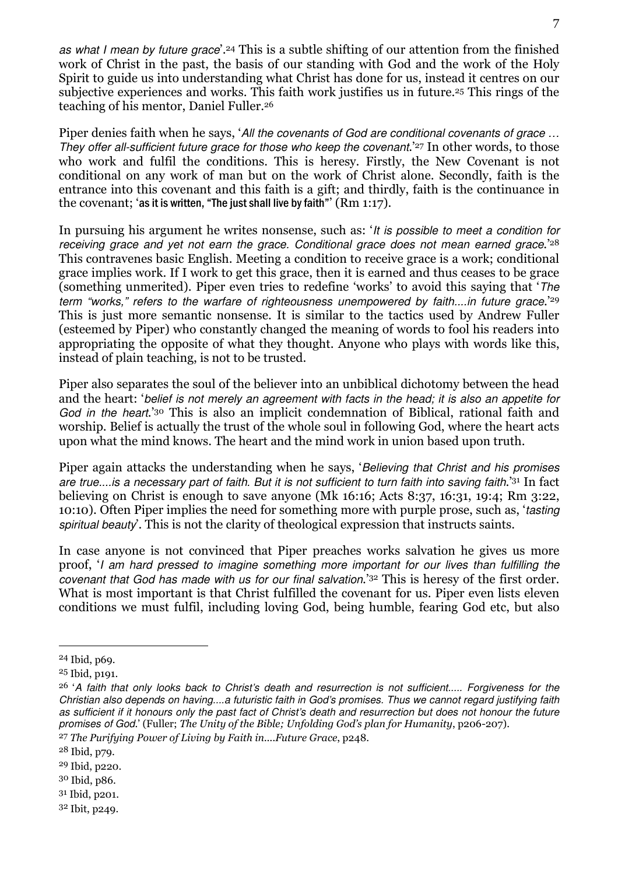as what I mean by future grace'.<sup>24</sup> This is a subtle shifting of our attention from the finished work of Christ in the past, the basis of our standing with God and the work of the Holy Spirit to guide us into understanding what Christ has done for us, instead it centres on our subjective experiences and works. This faith work justifies us in future.25 This rings of the teaching of his mentor, Daniel Fuller.<sup>26</sup>

Piper denies faith when he says, 'All the covenants of God are conditional covenants of grace ... They offer all-sufficient future grace for those who keep the covenant.<sup>'27</sup> In other words, to those who work and fulfil the conditions. This is heresy. Firstly, the New Covenant is not conditional on any work of man but on the work of Christ alone. Secondly, faith is the entrance into this covenant and this faith is a gift; and thirdly, faith is the continuance in the covenant; 'as it is written, "The just shall live by faith"' (Rm 1:17).

In pursuing his argument he writes nonsense, such as: 'It is possible to meet a condition for receiving grace and yet not earn the grace. Conditional grace does not mean earned grace.<sup>228</sup> This contravenes basic English. Meeting a condition to receive grace is a work; conditional grace implies work. If I work to get this grace, then it is earned and thus ceases to be grace (something unmerited). Piper even tries to redefine 'works' to avoid this saying that 'The term "works." refers to the warfare of righteousness unempowered by faith....in future grace.<sup>'29</sup> This is just more semantic nonsense. It is similar to the tactics used by Andrew Fuller (esteemed by Piper) who constantly changed the meaning of words to fool his readers into appropriating the opposite of what they thought. Anyone who plays with words like this, instead of plain teaching, is not to be trusted.

Piper also separates the soul of the believer into an unbiblical dichotomy between the head and the heart: 'belief is not merely an agreement with facts in the head; it is also an appetite for God in the heart.<sup>30</sup> This is also an implicit condemnation of Biblical, rational faith and worship. Belief is actually the trust of the whole soul in following God, where the heart acts upon what the mind knows. The heart and the mind work in union based upon truth.

Piper again attacks the understanding when he says, 'Believing that Christ and his promises are true....is a necessary part of faith. But it is not sufficient to turn faith into saving faith.'31 In fact believing on Christ is enough to save anyone (Mk 16:16; Acts 8:37, 16:31, 19:4; Rm 3:22, 10:10). Often Piper implies the need for something more with purple prose, such as, 'tasting spiritual beauty'. This is not the clarity of theological expression that instructs saints.

In case anyone is not convinced that Piper preaches works salvation he gives us more proof, 'I am hard pressed to imagine something more important for our lives than fulfilling the covenant that God has made with us for our final salvation.'32 This is heresy of the first order. What is most important is that Christ fulfilled the covenant for us. Piper even lists eleven conditions we must fulfil, including loving God, being humble, fearing God etc, but also

<sup>24</sup> Ibid, p69.

<sup>25</sup> Ibid, p191.

<sup>&</sup>lt;sup>26</sup> 'A faith that only looks back to Christ's death and resurrection is not sufficient..... Forgiveness for the Christian also depends on having....a futuristic faith in God's promises. Thus we cannot regard justifying faith as sufficient if it honours only the past fact of Christ's death and resurrection but does not honour the future promises of God.' (Fuller; The Unity of the Bible; Unfolding God's plan for Humanity, p206-207).

<sup>27</sup> The Purifying Power of Living by Faith in....Future Grace, p248.

<sup>28</sup> Ibid, p79.

<sup>29</sup> Ibid, p220.

<sup>30</sup> Ibid, p86.

<sup>31</sup> Ibid, p201.

<sup>32</sup> Ibit, p249.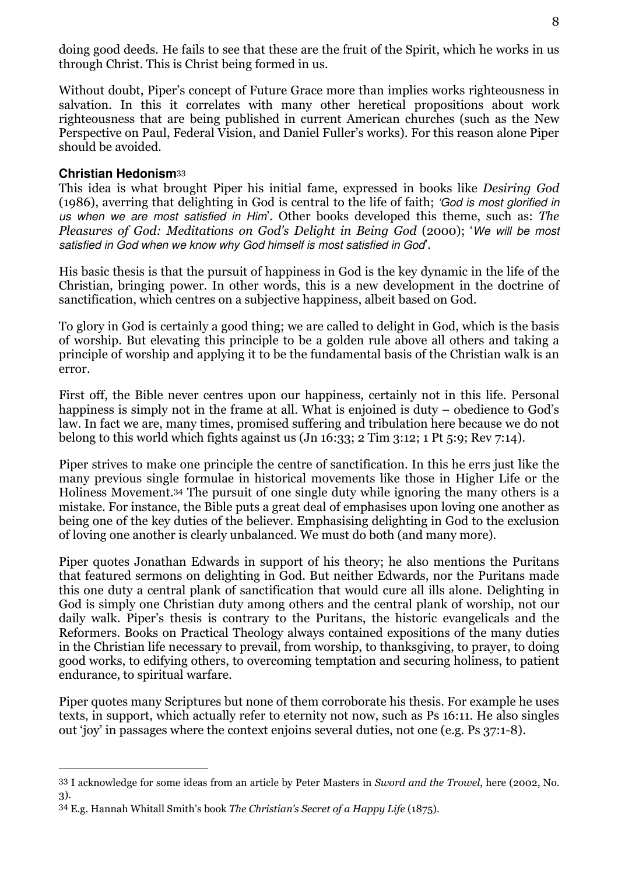doing good deeds. He fails to see that these are the fruit of the Spirit, which he works in us through Christ. This is Christ being formed in us.

Without doubt, Piper's concept of Future Grace more than implies works righteousness in salvation. In this it correlates with many other heretical propositions about work righteousness that are being published in current American churches (such as the New Perspective on Paul, Federal Vision, and Daniel Fuller's works). For this reason alone Piper should be avoided.

### **Christian Hedonism**<sup>33</sup>

 $\overline{a}$ 

This idea is what brought Piper his initial fame, expressed in books like Desiring God (1986), averring that delighting in God is central to the life of faith; 'God is most glorified in us when we are most satisfied in Him'. Other books developed this theme, such as: The Pleasures of God: Meditations on God's Delight in Being God (2000); 'We will be most satisfied in God when we know why God himself is most satisfied in God'.

His basic thesis is that the pursuit of happiness in God is the key dynamic in the life of the Christian, bringing power. In other words, this is a new development in the doctrine of sanctification, which centres on a subjective happiness, albeit based on God.

To glory in God is certainly a good thing; we are called to delight in God, which is the basis of worship. But elevating this principle to be a golden rule above all others and taking a principle of worship and applying it to be the fundamental basis of the Christian walk is an error.

First off, the Bible never centres upon our happiness, certainly not in this life. Personal happiness is simply not in the frame at all. What is enjoined is duty – obedience to God's law. In fact we are, many times, promised suffering and tribulation here because we do not belong to this world which fights against us (Jn 16:33; 2 Tim 3:12; 1 Pt 5:9; Rev 7:14).

Piper strives to make one principle the centre of sanctification. In this he errs just like the many previous single formulae in historical movements like those in Higher Life or the Holiness Movement.34 The pursuit of one single duty while ignoring the many others is a mistake. For instance, the Bible puts a great deal of emphasises upon loving one another as being one of the key duties of the believer. Emphasising delighting in God to the exclusion of loving one another is clearly unbalanced. We must do both (and many more).

Piper quotes Jonathan Edwards in support of his theory; he also mentions the Puritans that featured sermons on delighting in God. But neither Edwards, nor the Puritans made this one duty a central plank of sanctification that would cure all ills alone. Delighting in God is simply one Christian duty among others and the central plank of worship, not our daily walk. Piper's thesis is contrary to the Puritans, the historic evangelicals and the Reformers. Books on Practical Theology always contained expositions of the many duties in the Christian life necessary to prevail, from worship, to thanksgiving, to prayer, to doing good works, to edifying others, to overcoming temptation and securing holiness, to patient endurance, to spiritual warfare.

Piper quotes many Scriptures but none of them corroborate his thesis. For example he uses texts, in support, which actually refer to eternity not now, such as Ps 16:11. He also singles out 'joy' in passages where the context enjoins several duties, not one (e.g. Ps 37:1-8).

<sup>33</sup> I acknowledge for some ideas from an article by Peter Masters in Sword and the Trowel, here (2002, No. 3).

<sup>34</sup> E.g. Hannah Whitall Smith's book The Christian's Secret of a Happy Life (1875).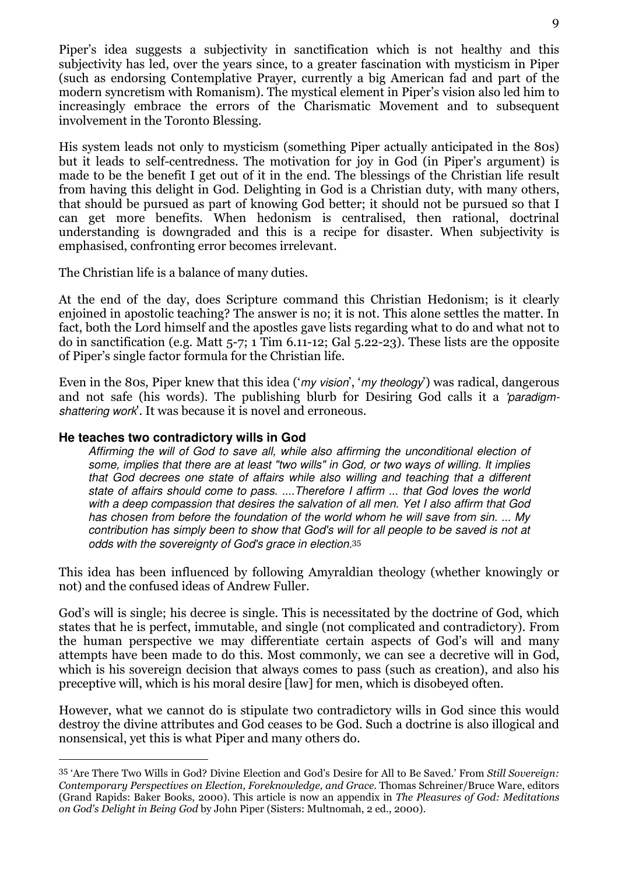Piper's idea suggests a subjectivity in sanctification which is not healthy and this subjectivity has led, over the years since, to a greater fascination with mysticism in Piper (such as endorsing Contemplative Prayer, currently a big American fad and part of the modern syncretism with Romanism). The mystical element in Piper's vision also led him to increasingly embrace the errors of the Charismatic Movement and to subsequent involvement in the Toronto Blessing.

His system leads not only to mysticism (something Piper actually anticipated in the 80s) but it leads to self-centredness. The motivation for joy in God (in Piper's argument) is made to be the benefit I get out of it in the end. The blessings of the Christian life result from having this delight in God. Delighting in God is a Christian duty, with many others, that should be pursued as part of knowing God better; it should not be pursued so that I can get more benefits. When hedonism is centralised, then rational, doctrinal understanding is downgraded and this is a recipe for disaster. When subjectivity is emphasised, confronting error becomes irrelevant.

The Christian life is a balance of many duties.

At the end of the day, does Scripture command this Christian Hedonism; is it clearly enjoined in apostolic teaching? The answer is no; it is not. This alone settles the matter. In fact, both the Lord himself and the apostles gave lists regarding what to do and what not to do in sanctification (e.g. Matt 5-7; 1 Tim 6.11-12; Gal 5.22-23). These lists are the opposite of Piper's single factor formula for the Christian life.

Even in the 80s, Piper knew that this idea ('my vision', 'my theology') was radical, dangerous and not safe (his words). The publishing blurb for Desiring God calls it a 'paradigmshattering work'. It was because it is novel and erroneous.

### **He teaches two contradictory wills in God**

I

Affirming the will of God to save all, while also affirming the unconditional election of some, implies that there are at least "two wills" in God, or two ways of willing. It implies that God decrees one state of affairs while also willing and teaching that a different state of affairs should come to pass. ....Therefore I affirm ... that God loves the world with a deep compassion that desires the salvation of all men. Yet I also affirm that God has chosen from before the foundation of the world whom he will save from sin. ... My contribution has simply been to show that God's will for all people to be saved is not at odds with the sovereignty of God's grace in election.<sup>35</sup>

This idea has been influenced by following Amyraldian theology (whether knowingly or not) and the confused ideas of Andrew Fuller.

God's will is single; his decree is single. This is necessitated by the doctrine of God, which states that he is perfect, immutable, and single (not complicated and contradictory). From the human perspective we may differentiate certain aspects of God's will and many attempts have been made to do this. Most commonly, we can see a decretive will in God, which is his sovereign decision that always comes to pass (such as creation), and also his preceptive will, which is his moral desire [law] for men, which is disobeyed often.

However, what we cannot do is stipulate two contradictory wills in God since this would destroy the divine attributes and God ceases to be God. Such a doctrine is also illogical and nonsensical, yet this is what Piper and many others do.

<sup>35</sup> 'Are There Two Wills in God? Divine Election and God's Desire for All to Be Saved.' From Still Sovereign: Contemporary Perspectives on Election, Foreknowledge, and Grace. Thomas Schreiner/Bruce Ware, editors (Grand Rapids: Baker Books, 2000). This article is now an appendix in The Pleasures of God: Meditations on God's Delight in Being God by John Piper (Sisters: Multnomah, 2 ed., 2000).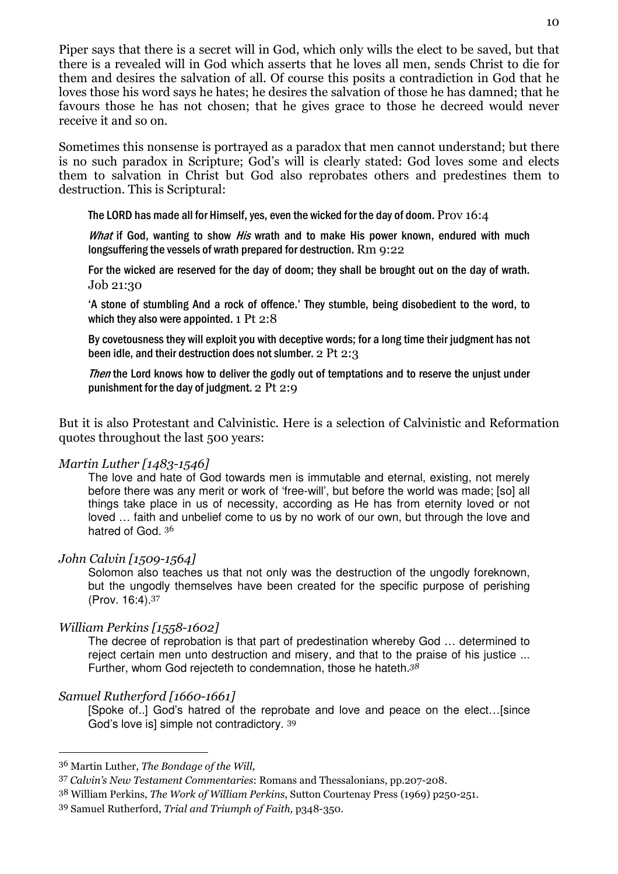Piper says that there is a secret will in God, which only wills the elect to be saved, but that there is a revealed will in God which asserts that he loves all men, sends Christ to die for them and desires the salvation of all. Of course this posits a contradiction in God that he loves those his word says he hates; he desires the salvation of those he has damned; that he favours those he has not chosen; that he gives grace to those he decreed would never receive it and so on.

Sometimes this nonsense is portrayed as a paradox that men cannot understand; but there is no such paradox in Scripture; God's will is clearly stated: God loves some and elects them to salvation in Christ but God also reprobates others and predestines them to destruction. This is Scriptural:

The LORD has made all for Himself, yes, even the wicked for the day of doom. Prov 16:4

What if God, wanting to show His wrath and to make His power known, endured with much longsuffering the vessels of wrath prepared for destruction. Rm 9:22

For the wicked are reserved for the day of doom; they shall be brought out on the day of wrath. Job 21:30

'A stone of stumbling And a rock of offence.' They stumble, being disobedient to the word, to which they also were appointed. 1 Pt 2:8

By covetousness they will exploit you with deceptive words; for a long time their judgment has not been idle, and their destruction does not slumber. 2 Pt 2:3

Then the Lord knows how to deliver the godly out of temptations and to reserve the unjust under punishment for the day of judgment. 2 Pt 2:9

But it is also Protestant and Calvinistic. Here is a selection of Calvinistic and Reformation quotes throughout the last 500 years:

### Martin Luther [1483-1546]

The love and hate of God towards men is immutable and eternal, existing, not merely before there was any merit or work of 'free-will', but before the world was made; [so] all things take place in us of necessity, according as He has from eternity loved or not loved … faith and unbelief come to us by no work of our own, but through the love and hatred of God. 36

### John Calvin [1509-1564]

Solomon also teaches us that not only was the destruction of the ungodly foreknown, but the ungodly themselves have been created for the specific purpose of perishing (Prov. 16:4).<sup>37</sup>

# William Perkins [1558-1602]

The decree of reprobation is that part of predestination whereby God … determined to reject certain men unto destruction and misery, and that to the praise of his justice ... Further, whom God rejecteth to condemnation, those he hateth.<sup>38</sup>

# Samuel Rutherford [1660-1661]

 $\overline{a}$ 

[Spoke of..] God's hatred of the reprobate and love and peace on the elect…[since God's love isl simple not contradictory. 39

<sup>36</sup> Martin Luther, The Bondage of the Will,

<sup>37</sup> Calvin's New Testament Commentaries: Romans and Thessalonians, pp.207-208.

<sup>38</sup> William Perkins, The Work of William Perkins, Sutton Courtenay Press (1969) p250-251.

<sup>39</sup> Samuel Rutherford, Trial and Triumph of Faith, p348-350.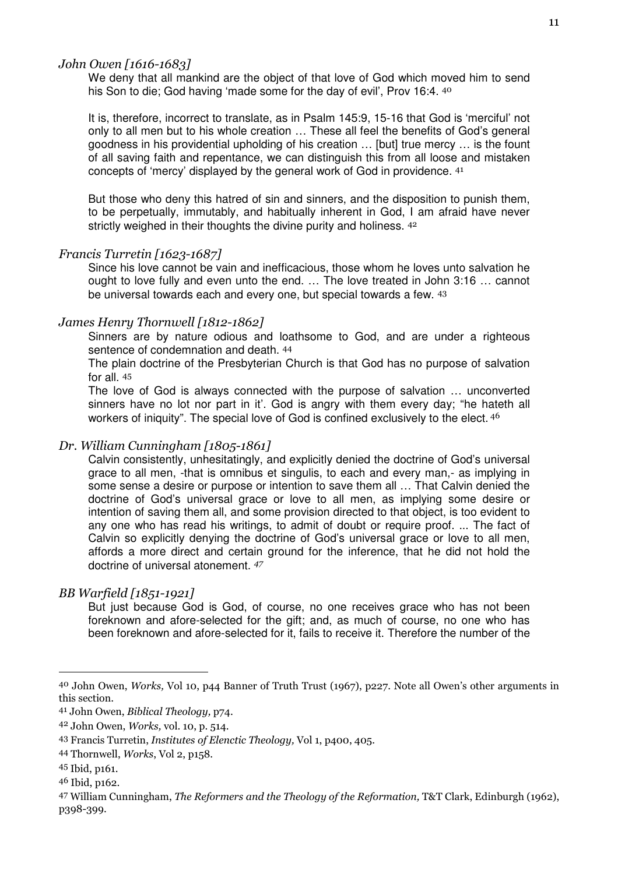#### John Owen [1616-1683]

We deny that all mankind are the object of that love of God which moved him to send his Son to die; God having 'made some for the day of evil', Prov 16:4. 40

It is, therefore, incorrect to translate, as in Psalm 145:9, 15-16 that God is 'merciful' not only to all men but to his whole creation … These all feel the benefits of God's general goodness in his providential upholding of his creation … [but] true mercy … is the fount of all saving faith and repentance, we can distinguish this from all loose and mistaken concepts of 'mercy' displayed by the general work of God in providence. <sup>41</sup>

But those who deny this hatred of sin and sinners, and the disposition to punish them, to be perpetually, immutably, and habitually inherent in God, I am afraid have never strictly weighed in their thoughts the divine purity and holiness. 42

#### Francis Turretin [1623-1687]

Since his love cannot be vain and inefficacious, those whom he loves unto salvation he ought to love fully and even unto the end. … The love treated in John 3:16 … cannot be universal towards each and every one, but special towards a few. <sup>43</sup>

#### James Henry Thornwell [1812-1862]

Sinners are by nature odious and loathsome to God, and are under a righteous sentence of condemnation and death. <sup>44</sup>

The plain doctrine of the Presbyterian Church is that God has no purpose of salvation for all. <sup>45</sup>

The love of God is always connected with the purpose of salvation … unconverted sinners have no lot nor part in it'. God is angry with them every day; "he hateth all workers of iniquity". The special love of God is confined exclusively to the elect. 46

#### Dr. William Cunningham [1805-1861]

Calvin consistently, unhesitatingly, and explicitly denied the doctrine of God's universal grace to all men, -that is omnibus et singulis, to each and every man,- as implying in some sense a desire or purpose or intention to save them all … That Calvin denied the doctrine of God's universal grace or love to all men, as implying some desire or intention of saving them all, and some provision directed to that object, is too evident to any one who has read his writings, to admit of doubt or require proof. ... The fact of Calvin so explicitly denying the doctrine of God's universal grace or love to all men, affords a more direct and certain ground for the inference, that he did not hold the doctrine of universal atonement. <sup>47</sup>

#### BB Warfield [1851-1921]

But just because God is God, of course, no one receives grace who has not been foreknown and afore-selected for the gift; and, as much of course, no one who has been foreknown and afore-selected for it, fails to receive it. Therefore the number of the

<sup>40</sup> John Owen, Works, Vol 10, p44 Banner of Truth Trust (1967), p227. Note all Owen's other arguments in this section.

<sup>41</sup> John Owen, Biblical Theology, p74.

<sup>42</sup> John Owen, Works, vol. 10, p. 514.

<sup>43</sup> Francis Turretin, Institutes of Elenctic Theology, Vol 1, p400, 405.

<sup>44</sup> Thornwell, Works, Vol 2, p158.

<sup>45</sup> Ibid, p161.

<sup>46</sup> Ibid, p162.

<sup>47</sup> William Cunningham, The Reformers and the Theology of the Reformation, T&T Clark, Edinburgh (1962), p398-399.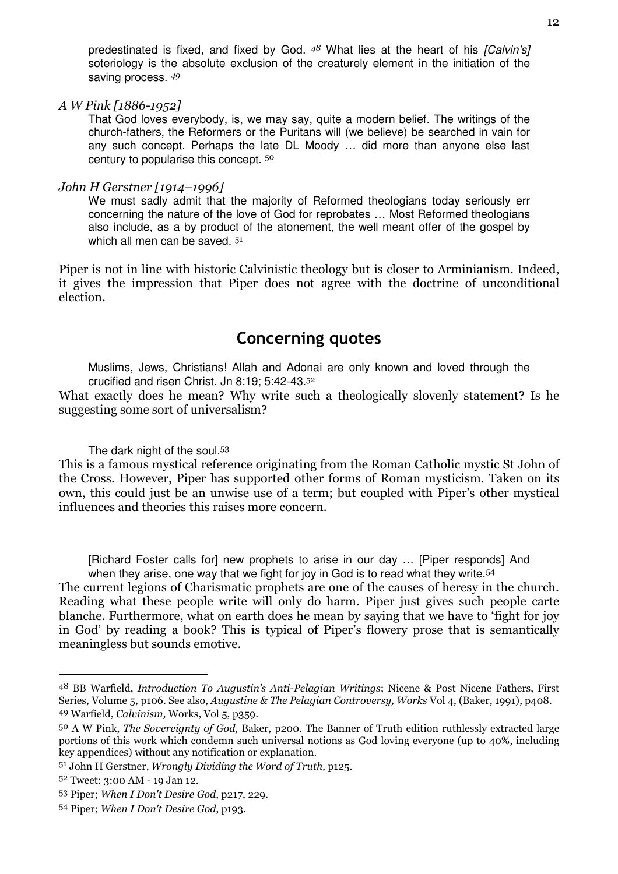predestinated is fixed, and fixed by God.  $48$  What lies at the heart of his [Calvin's] soteriology is the absolute exclusion of the creaturely element in the initiation of the saving process.  $49$ 

A W Pink [1886-1952]

That God loves everybody, is, we may say, quite a modern belief. The writings of the church-fathers, the Reformers or the Puritans will (we believe) be searched in vain for any such concept. Perhaps the late DL Moody … did more than anyone else last century to popularise this concept. <sup>50</sup>

#### John H Gerstner [1914–1996]

We must sadly admit that the majority of Reformed theologians today seriously err concerning the nature of the love of God for reprobates … Most Reformed theologians also include, as a by product of the atonement, the well meant offer of the gospel by which all men can be saved.  $51$ 

Piper is not in line with historic Calvinistic theology but is closer to Arminianism. Indeed, it gives the impression that Piper does not agree with the doctrine of unconditional election.

# Concerning quotes

Muslims, Jews, Christians! Allah and Adonai are only known and loved through the crucified and risen Christ. Jn 8:19; 5:42-43.<sup>52</sup>

What exactly does he mean? Why write such a theologically slovenly statement? Is he suggesting some sort of universalism?

The dark night of the soul.<sup>53</sup>

This is a famous mystical reference originating from the Roman Catholic mystic St John of the Cross. However, Piper has supported other forms of Roman mysticism. Taken on its own, this could just be an unwise use of a term; but coupled with Piper's other mystical influences and theories this raises more concern.

[Richard Foster calls for] new prophets to arise in our day ... [Piper responds] And when they arise, one way that we fight for joy in God is to read what they write.<sup>54</sup>

The current legions of Charismatic prophets are one of the causes of heresy in the church. Reading what these people write will only do harm. Piper just gives such people carte blanche. Furthermore, what on earth does he mean by saying that we have to 'fight for joy in God' by reading a book? This is typical of Piper's flowery prose that is semantically meaningless but sounds emotive.

<sup>48</sup> BB Warfield, Introduction To Augustin's Anti-Pelagian Writings; Nicene & Post Nicene Fathers, First Series, Volume 5, p106. See also, Augustine & The Pelagian Controversy, Works Vol 4, (Baker, 1991), p408. 49 Warfield, Calvinism, Works, Vol 5, p359.

<sup>50</sup> A W Pink, The Sovereignty of God, Baker, p200. The Banner of Truth edition ruthlessly extracted large portions of this work which condemn such universal notions as God loving everyone (up to 40%, including key appendices) without any notification or explanation.

<sup>51</sup> John H Gerstner, Wrongly Dividing the Word of Truth, p125.

<sup>52</sup> Tweet: 3:00 AM - 19 Jan 12.

<sup>53</sup> Piper; When I Don't Desire God, p217, 229.

<sup>54</sup> Piper; When I Don't Desire God, p193.